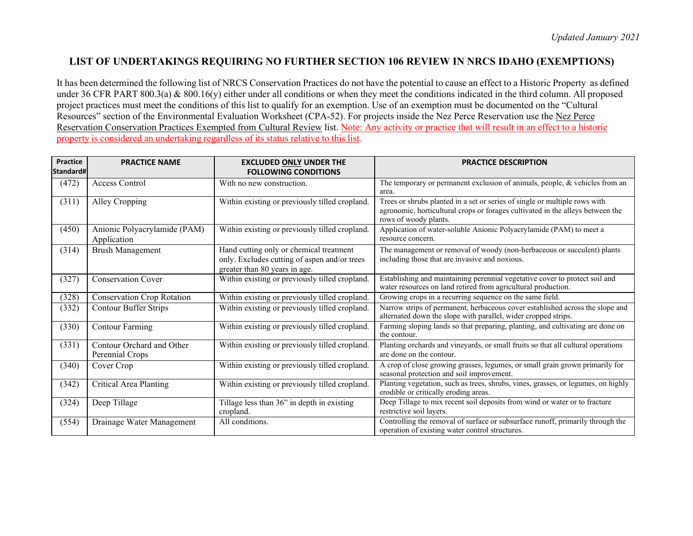## **LIST OF UNDERTAKINGS REQUIRING NO FURTHER SECTION 106 REVIEW IN NRCS IDAHO (EXEMPTIONS)**

It has been determined the following list of NRCS Conservation Practices do not have the potential to cause an effect to a Historic Property as defined under 36 CFR PART 800.3(a) & 800.16(y) either under all conditions or when they meet the conditions indicated in the third column. All proposed project practices must meet the conditions of this list to qualify for an exemption. Use of an exemption must be documented on the "Cultural Resources" section of the Environmental Evaluation Worksheet (CPA-52). For projects inside the Nez Perce Reservation use the Nez Perce Reservation Conservation Practices Exempted from Cultural Review list. Note: Any activity or practice that will result in an effect to a historic property is considered an undertaking regardless of its status relative to this list.

| Practice  | <b>PRACTICE NAME</b>                         | <b>EXCLUDED ONLY UNDER THE</b>                                                                                           | <b>PRACTICE DESCRIPTION</b>                                                                                                                                                           |
|-----------|----------------------------------------------|--------------------------------------------------------------------------------------------------------------------------|---------------------------------------------------------------------------------------------------------------------------------------------------------------------------------------|
| Standard# |                                              | <b>FOLLOWING CONDITIONS</b>                                                                                              |                                                                                                                                                                                       |
| (472)     | Access Control                               | With no new construction.                                                                                                | The temporary or permanent exclusion of animals, people, & vehicles from an<br>area.                                                                                                  |
| (311)     | Alley Cropping                               | Within existing or previously tilled cropland.                                                                           | Trees or shrubs planted in a set or series of single or multiple rows with<br>agronomic, horticultural crops or forages cultivated in the alleys between the<br>rows of woody plants. |
| (450)     | Anionic Polyacrylamide (PAM)<br>Application  | Within existing or previously tilled cropland.                                                                           | Application of water-soluble Anionic Polyacrylamide (PAM) to meet a<br>resource concern.                                                                                              |
| (314)     | <b>Brush Management</b>                      | Hand cutting only or chemical treatment<br>only. Excludes cutting of aspen and/or trees<br>greater than 80 years in age. | The management or removal of woody (non-herbaceous or succulent) plants<br>including those that are invasive and noxious.                                                             |
| (327)     | <b>Conservation Cover</b>                    | Within existing or previously tilled cropland.                                                                           | Establishing and maintaining perennial vegetative cover to protect soil and<br>water resources on land retired from agricultural production.                                          |
| (328)     | <b>Conservation Crop Rotation</b>            | Within existing or previously tilled cropland.                                                                           | Growing crops in a recurring sequence on the same field.                                                                                                                              |
| (332)     | <b>Contour Buffer Strips</b>                 | Within existing or previously tilled cropland.                                                                           | Narrow strips of permanent, herbaceous cover established across the slope and<br>alternated down the slope with parallel, wider cropped strips.                                       |
| (330)     | <b>Contour Farming</b>                       | Within existing or previously tilled cropland.                                                                           | Farming sloping lands so that preparing, planting, and cultivating are done on<br>the contour.                                                                                        |
| (331)     | Contour Orchard and Other<br>Perennial Crops | Within existing or previously tilled cropland.                                                                           | Planting orchards and vineyards, or small fruits so that all cultural operations<br>are done on the contour.                                                                          |
| (340)     | Cover Crop                                   | Within existing or previously tilled cropland.                                                                           | A crop of close growing grasses, legumes, or small grain grown primarily for<br>seasonal protection and soil improvement.                                                             |
| (342)     | <b>Critical Area Planting</b>                | Within existing or previously tilled cropland.                                                                           | Planting vegetation, such as trees, shrubs, vines, grasses, or legumes, on highly<br>erodible or critically eroding areas.                                                            |
| (324)     | Deep Tillage                                 | Tillage less than 36" in depth in existing<br>cropland.                                                                  | Deep Tillage to mix recent soil deposits from wind or water or to fracture<br>restrictive soil layers.                                                                                |
| (554)     | Drainage Water Management                    | All conditions.                                                                                                          | Controlling the removal of surface or subsurface runoff, primarily through the<br>operation of existing water control structures.                                                     |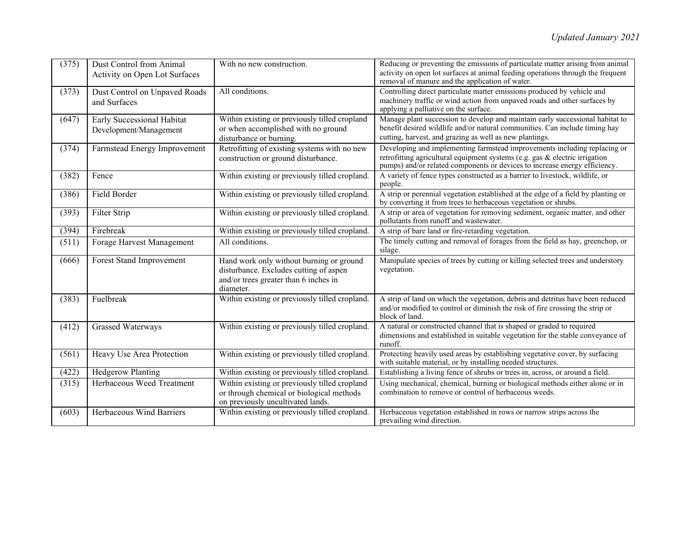| (375) | Dust Control from Animal<br>Activity on Open Lot Surfaces | With no new construction.                                                                                                                | Reducing or preventing the emissions of particulate matter arising from animal<br>activity on open lot surfaces at animal feeding operations through the frequent<br>removal of manure and the application of water.                   |
|-------|-----------------------------------------------------------|------------------------------------------------------------------------------------------------------------------------------------------|----------------------------------------------------------------------------------------------------------------------------------------------------------------------------------------------------------------------------------------|
| (373) | Dust Control on Unpaved Roads<br>and Surfaces             | All conditions.                                                                                                                          | Controlling direct particulate matter emissions produced by vehicle and<br>machinery traffic or wind action from unpaved roads and other surfaces by<br>applying a palliative on the surface.                                          |
| (647) | Early Successional Habitat<br>Development/Management      | Within existing or previously tilled cropland<br>or when accomplished with no ground<br>disturbance or burning.                          | Manage plant succession to develop and maintain early successional habitat to<br>benefit desired wildlife and/or natural communities. Can include timing hay<br>cutting, harvest, and grazing as well as new plantings.                |
| (374) | Farmstead Energy Improvement                              | Retrofitting of existing systems with no new<br>construction or ground disturbance.                                                      | Developing and implementing farmstead improvements including replacing or<br>retrofitting agricultural equipment systems (e.g. gas & electric irrigation<br>pumps) and/or related components or devices to increase energy efficiency. |
| (382) | Fence                                                     | Within existing or previously tilled cropland.                                                                                           | A variety of fence types constructed as a barrier to livestock, wildlife, or<br>people.                                                                                                                                                |
| (386) | Field Border                                              | Within existing or previously tilled cropland.                                                                                           | A strip or perennial vegetation established at the edge of a field by planting or<br>by converting it from trees to herbaceous vegetation or shrubs.                                                                                   |
| (393) | Filter Strip                                              | Within existing or previously tilled cropland.                                                                                           | A strip or area of vegetation for removing sediment, organic matter, and other<br>pollutants from runoff and wastewater.                                                                                                               |
| (394) | Firebreak                                                 | Within existing or previously tilled cropland.                                                                                           | A strip of bare land or fire-retarding vegetation.                                                                                                                                                                                     |
| (511) | Forage Harvest Management                                 | All conditions.                                                                                                                          | The timely cutting and removal of forages from the field as hay, greenchop, or<br>silage.                                                                                                                                              |
| (666) | Forest Stand Improvement                                  | Hand work only without burning or ground<br>disturbance. Excludes cutting of aspen<br>and/or trees greater than 6 inches in<br>diameter. | Manipulate species of trees by cutting or killing selected trees and understory<br>vegetation.                                                                                                                                         |
| (383) | Fuelbreak                                                 | Within existing or previously tilled cropland.                                                                                           | A strip of land on which the vegetation, debris and detritus have been reduced<br>and/or modified to control or diminish the risk of fire crossing the strip or<br>block of land.                                                      |
| (412) | Grassed Waterways                                         | Within existing or previously tilled cropland.                                                                                           | A natural or constructed channel that is shaped or graded to required<br>dimensions and established in suitable vegetation for the stable conveyance of<br>runoff.                                                                     |
| (561) | Heavy Use Area Protection                                 | Within existing or previously tilled cropland.                                                                                           | Protecting heavily used areas by establishing vegetative cover, by surfacing<br>with suitable material, or by installing needed structures.                                                                                            |
| (422) | <b>Hedgerow Planting</b>                                  | Within existing or previously tilled cropland.                                                                                           | Establishing a living fence of shrubs or trees in, across, or around a field.                                                                                                                                                          |
| (315) | Herbaceous Weed Treatment                                 | Within existing or previously tilled cropland<br>or through chemical or biological methods<br>on previously uncultivated lands.          | Using mechanical, chemical, burning or biological methods either alone or in<br>combination to remove or control of herbaceous weeds.                                                                                                  |
| (603) | Herbaceous Wind Barriers                                  | Within existing or previously tilled cropland.                                                                                           | Herbaceous vegetation established in rows or narrow strips across the<br>prevailing wind direction.                                                                                                                                    |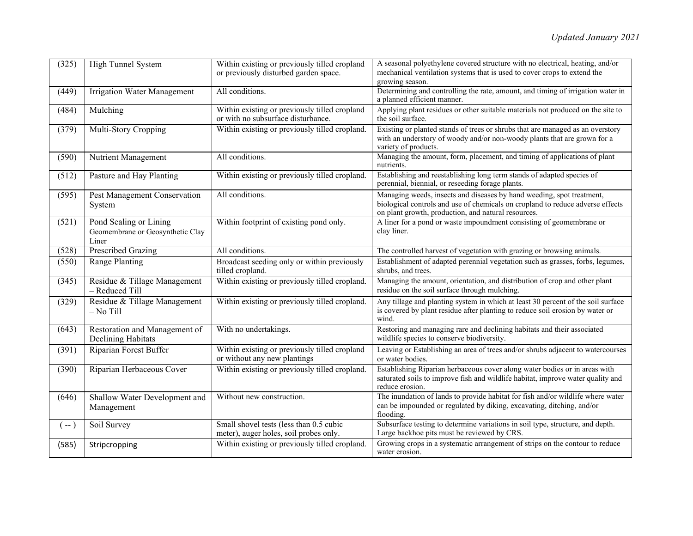| (325) | High Tunnel System                                                  | Within existing or previously tilled cropland<br>or previously disturbed garden space. | A seasonal polyethylene covered structure with no electrical, heating, and/or<br>mechanical ventilation systems that is used to cover crops to extend the<br>growing season.                                   |
|-------|---------------------------------------------------------------------|----------------------------------------------------------------------------------------|----------------------------------------------------------------------------------------------------------------------------------------------------------------------------------------------------------------|
| (449) | <b>Irrigation Water Management</b>                                  | All conditions.                                                                        | Determining and controlling the rate, amount, and timing of irrigation water in<br>a planned efficient manner.                                                                                                 |
| (484) | Mulching                                                            | Within existing or previously tilled cropland<br>or with no subsurface disturbance.    | Applying plant residues or other suitable materials not produced on the site to<br>the soil surface.                                                                                                           |
| (379) | Multi-Story Cropping                                                | Within existing or previously tilled cropland.                                         | Existing or planted stands of trees or shrubs that are managed as an overstory<br>with an understory of woody and/or non-woody plants that are grown for a<br>variety of products.                             |
| (590) | Nutrient Management                                                 | All conditions.                                                                        | Managing the amount, form, placement, and timing of applications of plant<br>nutrients.                                                                                                                        |
| (512) | Pasture and Hay Planting                                            | Within existing or previously tilled cropland.                                         | Establishing and reestablishing long term stands of adapted species of<br>perennial, biennial, or reseeding forage plants.                                                                                     |
| (595) | Pest Management Conservation<br>System                              | All conditions.                                                                        | Managing weeds, insects and diseases by hand weeding, spot treatment,<br>biological controls and use of chemicals on cropland to reduce adverse effects<br>on plant growth, production, and natural resources. |
| (521) | Pond Sealing or Lining<br>Geomembrane or Geosynthetic Clay<br>Liner | Within footprint of existing pond only.                                                | A liner for a pond or waste impoundment consisting of geomembrane or<br>clay liner.                                                                                                                            |
| (528) | <b>Prescribed Grazing</b>                                           | All conditions.                                                                        | The controlled harvest of vegetation with grazing or browsing animals.                                                                                                                                         |
| (550) | Range Planting                                                      | Broadcast seeding only or within previously<br>tilled cropland.                        | Establishment of adapted perennial vegetation such as grasses, forbs, legumes,<br>shrubs, and trees.                                                                                                           |
| (345) | Residue & Tillage Management<br>- Reduced Till                      | Within existing or previously tilled cropland.                                         | Managing the amount, orientation, and distribution of crop and other plant<br>residue on the soil surface through mulching.                                                                                    |
| (329) | Residue & Tillage Management<br>$-$ No Till                         | Within existing or previously tilled cropland.                                         | Any tillage and planting system in which at least 30 percent of the soil surface<br>is covered by plant residue after planting to reduce soil erosion by water or<br>wind.                                     |
| (643) | Restoration and Management of<br><b>Declining Habitats</b>          | With no undertakings.                                                                  | Restoring and managing rare and declining habitats and their associated<br>wildlife species to conserve biodiversity.                                                                                          |
| (391) | Riparian Forest Buffer                                              | Within existing or previously tilled cropland<br>or without any new plantings          | Leaving or Establishing an area of trees and/or shrubs adjacent to watercourses<br>or water bodies.                                                                                                            |
| (390) | Riparian Herbaceous Cover                                           | Within existing or previously tilled cropland.                                         | Establishing Riparian herbaceous cover along water bodies or in areas with<br>saturated soils to improve fish and wildlife habitat, improve water quality and<br>reduce erosion.                               |
| (646) | Shallow Water Development and<br>Management                         | Without new construction.                                                              | The inundation of lands to provide habitat for fish and/or wildlife where water<br>can be impounded or regulated by diking, excavating, ditching, and/or<br>flooding.                                          |
| $(-)$ | Soil Survey                                                         | Small shovel tests (less than 0.5 cubic<br>meter), auger holes, soil probes only.      | Subsurface testing to determine variations in soil type, structure, and depth.<br>Large backhoe pits must be reviewed by CRS.                                                                                  |
| (585) | Stripcropping                                                       | Within existing or previously tilled cropland.                                         | Growing crops in a systematic arrangement of strips on the contour to reduce<br>water erosion.                                                                                                                 |